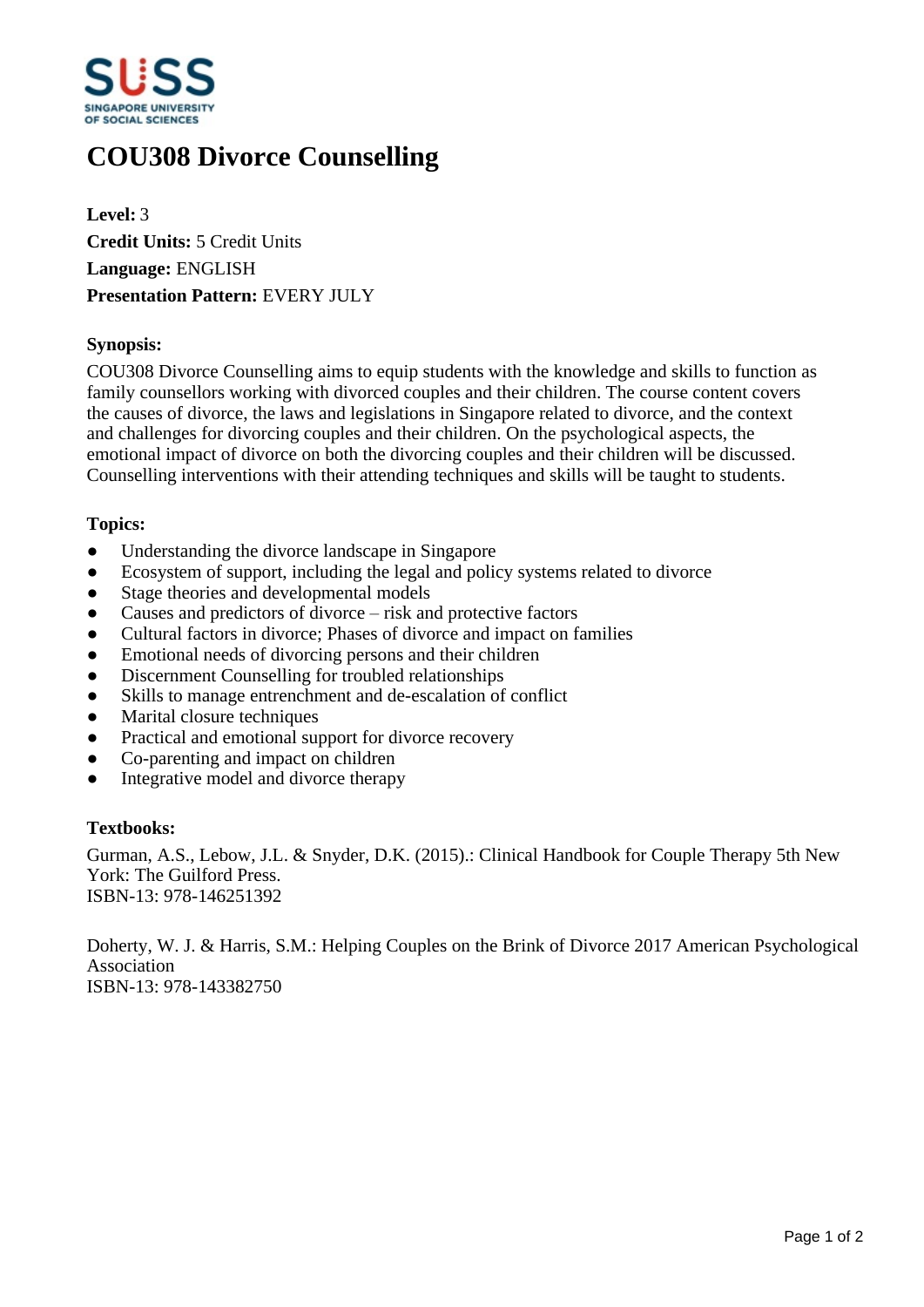

# **COU308 Divorce Counselling**

**Level:** 3 **Credit Units:** 5 Credit Units **Language:** ENGLISH **Presentation Pattern:** EVERY JULY

## **Synopsis:**

COU308 Divorce Counselling aims to equip students with the knowledge and skills to function as family counsellors working with divorced couples and their children. The course content covers the causes of divorce, the laws and legislations in Singapore related to divorce, and the context and challenges for divorcing couples and their children. On the psychological aspects, the emotional impact of divorce on both the divorcing couples and their children will be discussed. Counselling interventions with their attending techniques and skills will be taught to students.

#### **Topics:**

- Understanding the divorce landscape in Singapore
- Ecosystem of support, including the legal and policy systems related to divorce
- Stage theories and developmental models
- Causes and predictors of divorce  $-\text{risk}$  and protective factors
- ƔCultural factors in divorce; Phases of divorce and impact on families
- Emotional needs of divorcing persons and their children
- Discernment Counselling for troubled relationships
- Skills to manage entrenchment and de-escalation of conflict
- Marital closure techniques
- Practical and emotional support for divorce recovery
- Co-parenting and impact on children
- Integrative model and divorce therapy

#### **Textbooks:**

Gurman, A.S., Lebow, J.L. & Snyder, D.K. (2015).: Clinical Handbook for Couple Therapy 5th New York: The Guilford Press. ISBN-13: 978-146251392

Doherty, W. J. & Harris, S.M.: Helping Couples on the Brink of Divorce 2017 American Psychological Association ISBN-13: 978-143382750